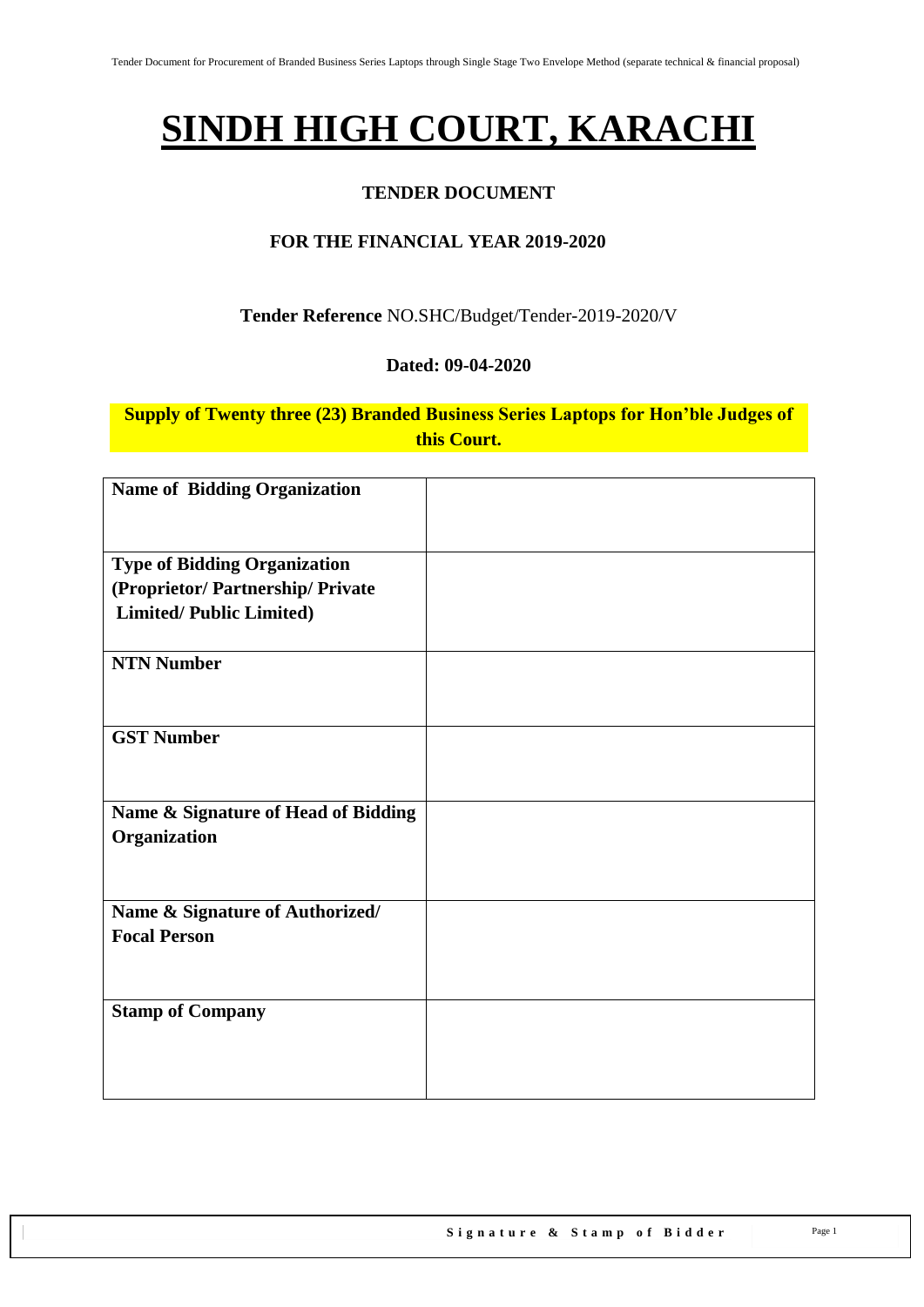# **SINDH HIGH COURT, KARACHI**

## **TENDER DOCUMENT**

## **FOR THE FINANCIAL YEAR 2019-2020**

#### **Tender Reference** NO.SHC/Budget/Tender-2019-2020/V

#### **Dated: 09-04-2020**

**Supply of Twenty three (23) Branded Business Series Laptops for Hon'ble Judges of this Court.**

| <b>Name of Bidding Organization</b> |  |
|-------------------------------------|--|
|                                     |  |
|                                     |  |
| <b>Type of Bidding Organization</b> |  |
| (Proprietor/Partnership/Private     |  |
| <b>Limited/Public Limited)</b>      |  |
|                                     |  |
| <b>NTN Number</b>                   |  |
|                                     |  |
|                                     |  |
| <b>GST Number</b>                   |  |
|                                     |  |
|                                     |  |
| Name & Signature of Head of Bidding |  |
| Organization                        |  |
|                                     |  |
|                                     |  |
| Name & Signature of Authorized/     |  |
| <b>Focal Person</b>                 |  |
|                                     |  |
|                                     |  |
|                                     |  |
| <b>Stamp of Company</b>             |  |
|                                     |  |
|                                     |  |
|                                     |  |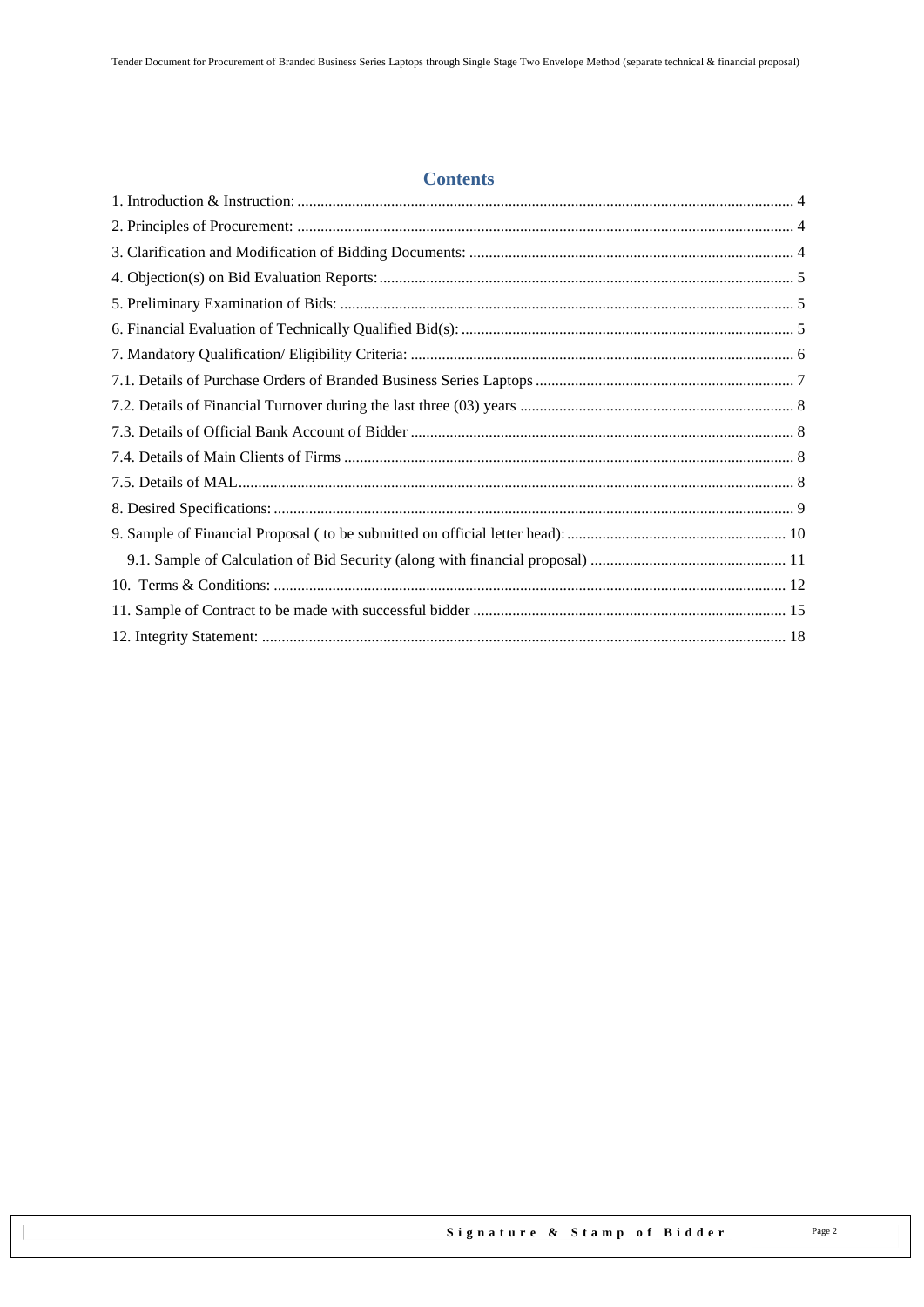#### **Contents**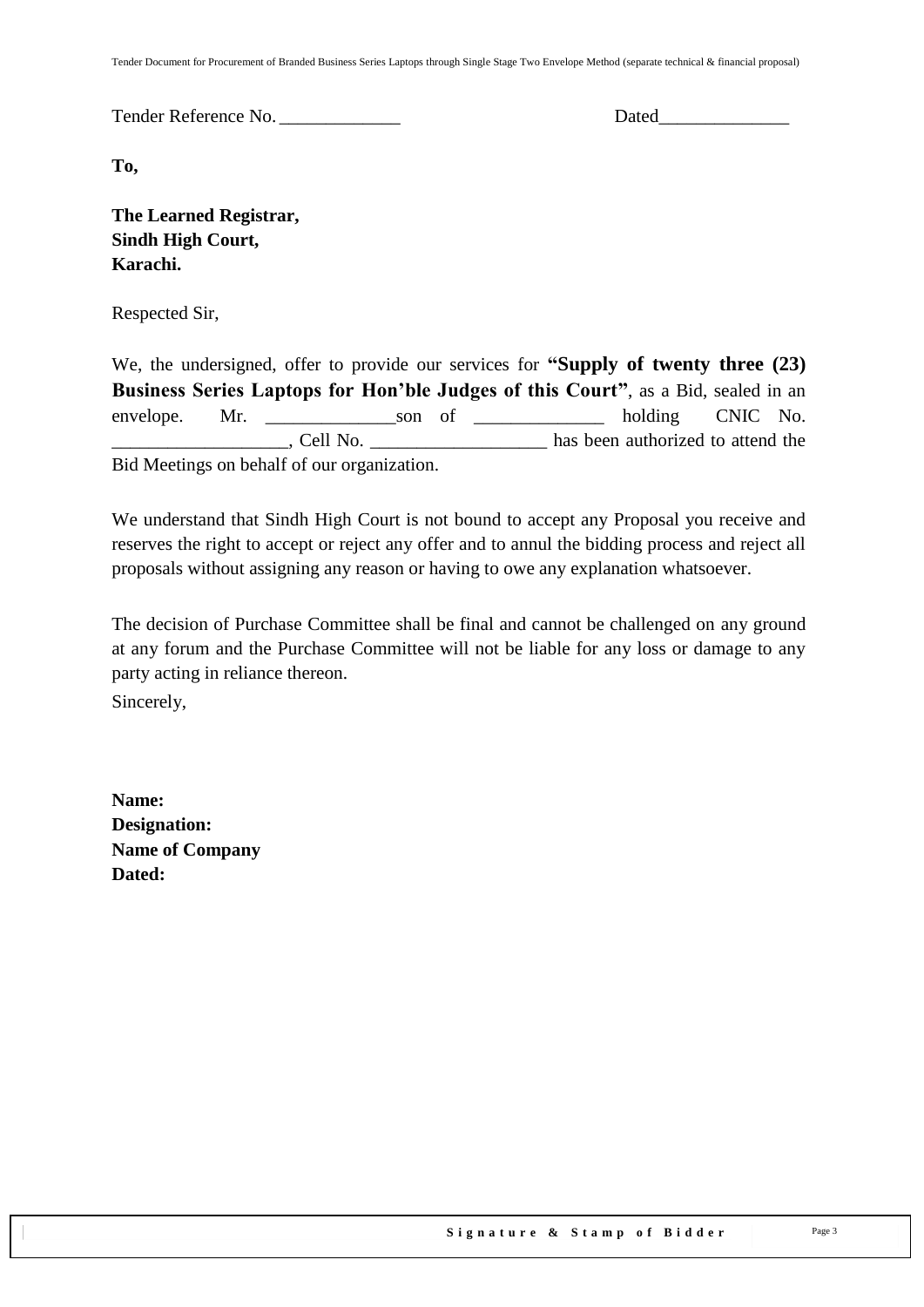Tender Document for Procurement of Branded Business Series Laptops through Single Stage Two Envelope Method (separate technical & financial proposal)

Tender Reference No. \_\_\_\_\_\_\_\_\_\_\_\_\_ Dated\_\_\_\_\_\_\_\_\_\_\_\_\_\_

**To,** 

**The Learned Registrar, Sindh High Court, Karachi.**

Respected Sir,

We, the undersigned, offer to provide our services for **"Supply of twenty three (23) Business Series Laptops for Hon'ble Judges of this Court"**, as a Bid, sealed in an envelope. Mr. son of holding CNIC No. Let  $\Box$ , Cell No.  $\Box$  are the has been authorized to attend the Bid Meetings on behalf of our organization.

We understand that Sindh High Court is not bound to accept any Proposal you receive and reserves the right to accept or reject any offer and to annul the bidding process and reject all proposals without assigning any reason or having to owe any explanation whatsoever.

The decision of Purchase Committee shall be final and cannot be challenged on any ground at any forum and the Purchase Committee will not be liable for any loss or damage to any party acting in reliance thereon.

Sincerely,

**Name: Designation: Name of Company Dated:**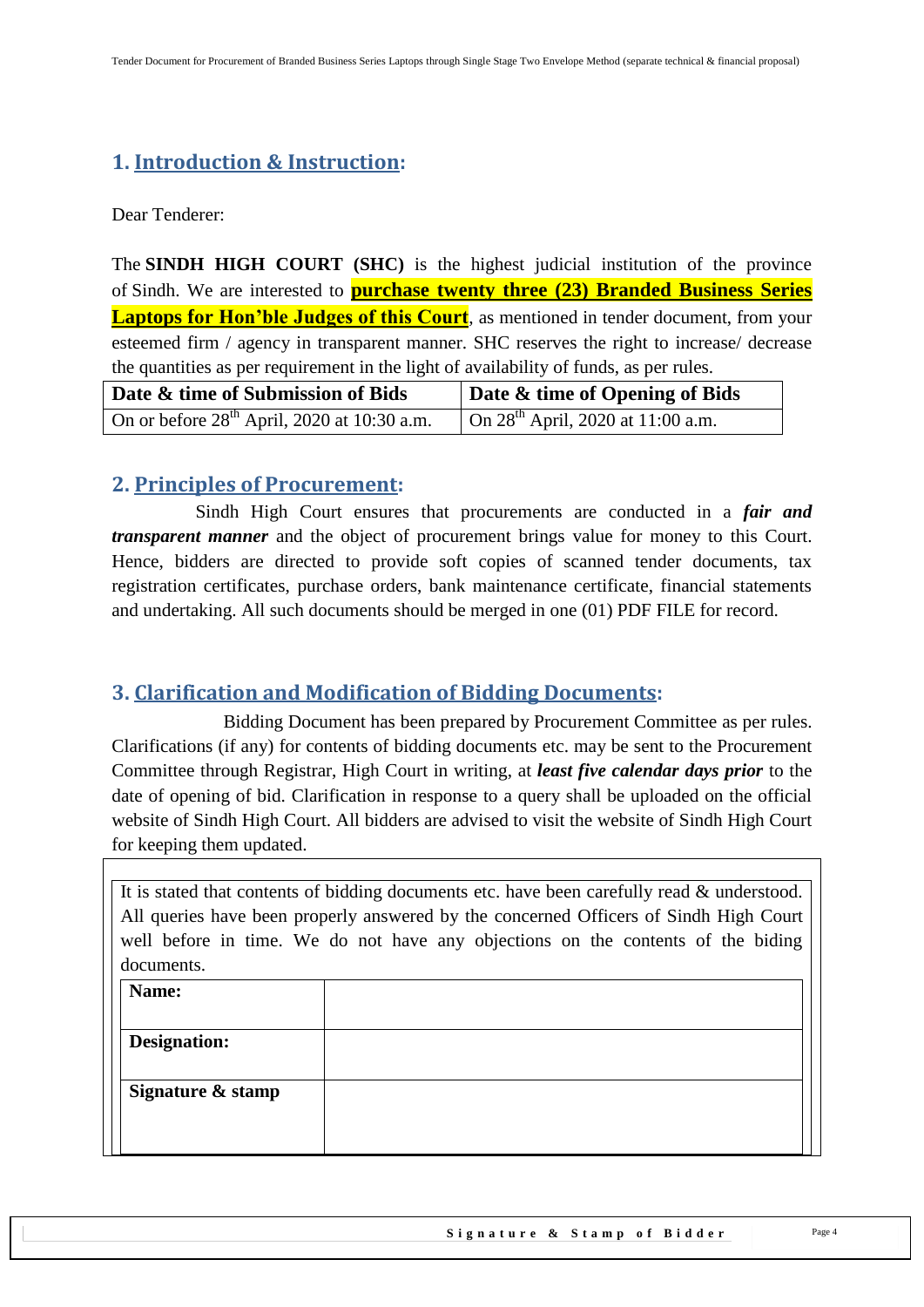## <span id="page-3-0"></span>**1. Introduction & Instruction:**

Dear Tenderer:

The **SINDH HIGH COURT (SHC)** is the highest judicial institution of the province of [Sindh.](https://en.wikipedia.org/wiki/Sindh) We are interested to **purchase twenty three (23) Branded Business Series Laptops for Hon'ble Judges of this Court**, as mentioned in tender document, from your esteemed firm / agency in transparent manner. SHC reserves the right to increase/ decrease the quantities as per requirement in the light of availability of funds, as per rules.

| Date & time of Submission of Bids             | Date & time of Opening of Bids         |  |
|-----------------------------------------------|----------------------------------------|--|
| On or before $28th$ April, 2020 at 10:30 a.m. | On $28^{th}$ April, 2020 at 11:00 a.m. |  |

## <span id="page-3-1"></span>**2. Principles of Procurement:**

 Sindh High Court ensures that procurements are conducted in a *fair and transparent manner* and the object of procurement brings value for money to this Court. Hence, bidders are directed to provide soft copies of scanned tender documents, tax registration certificates, purchase orders, bank maintenance certificate, financial statements and undertaking. All such documents should be merged in one (01) PDF FILE for record.

## <span id="page-3-2"></span>**3. Clarification and Modification of Bidding Documents:**

Bidding Document has been prepared by Procurement Committee as per rules. Clarifications (if any) for contents of bidding documents etc. may be sent to the Procurement Committee through Registrar, High Court in writing, at *least five calendar days prior* to the date of opening of bid. Clarification in response to a query shall be uploaded on the official website of Sindh High Court. All bidders are advised to visit the website of Sindh High Court for keeping them updated.

| It is stated that contents of bidding documents etc. have been carefully read & understood. |
|---------------------------------------------------------------------------------------------|
| All queries have been properly answered by the concerned Officers of Sindh High Court       |
| well before in time. We do not have any objections on the contents of the biding            |
| documents.                                                                                  |
| $\blacksquare$ Name                                                                         |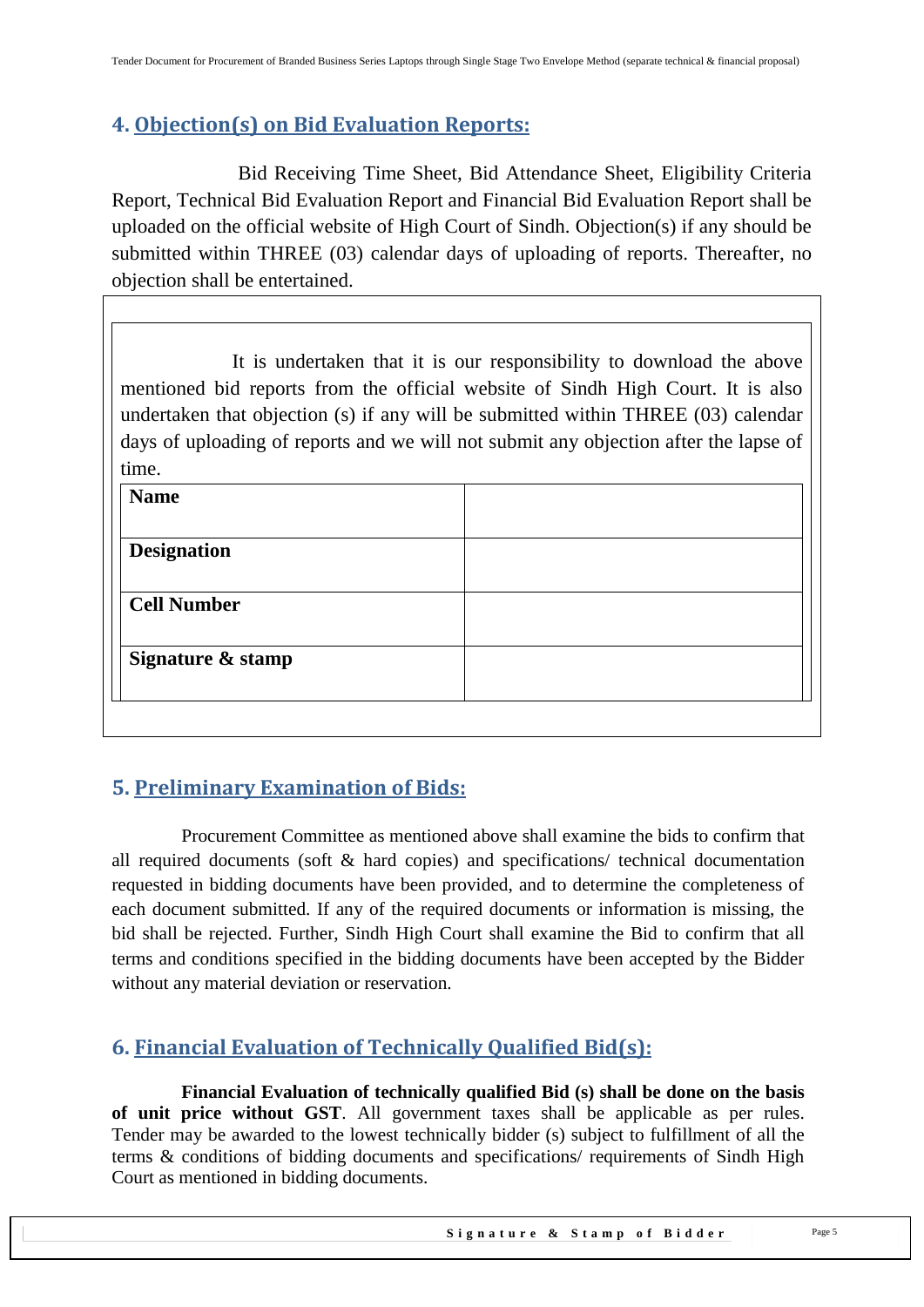## <span id="page-4-0"></span>**4. Objection(s) on Bid Evaluation Reports:**

 Bid Receiving Time Sheet, Bid Attendance Sheet, Eligibility Criteria Report, Technical Bid Evaluation Report and Financial Bid Evaluation Report shall be uploaded on the official website of High Court of Sindh. Objection(s) if any should be submitted within THREE (03) calendar days of uploading of reports. Thereafter, no objection shall be entertained.

It is undertaken that it is our responsibility to download the above mentioned bid reports from the official website of Sindh High Court. It is also undertaken that objection (s) if any will be submitted within THREE (03) calendar days of uploading of reports and we will not submit any objection after the lapse of time.

| <b>Name</b>        |  |
|--------------------|--|
|                    |  |
| <b>Designation</b> |  |
| <b>Cell Number</b> |  |
| Signature & stamp  |  |
|                    |  |

# <span id="page-4-1"></span>**5. Preliminary Examination of Bids:**

 Procurement Committee as mentioned above shall examine the bids to confirm that all required documents (soft & hard copies) and specifications/ technical documentation requested in bidding documents have been provided, and to determine the completeness of each document submitted. If any of the required documents or information is missing, the bid shall be rejected. Further, Sindh High Court shall examine the Bid to confirm that all terms and conditions specified in the bidding documents have been accepted by the Bidder without any material deviation or reservation.

# <span id="page-4-2"></span>**6. Financial Evaluation of Technically Qualified Bid(s):**

 **Financial Evaluation of technically qualified Bid (s) shall be done on the basis of unit price without GST**. All government taxes shall be applicable as per rules. Tender may be awarded to the lowest technically bidder (s) subject to fulfillment of all the terms & conditions of bidding documents and specifications/ requirements of Sindh High Court as mentioned in bidding documents.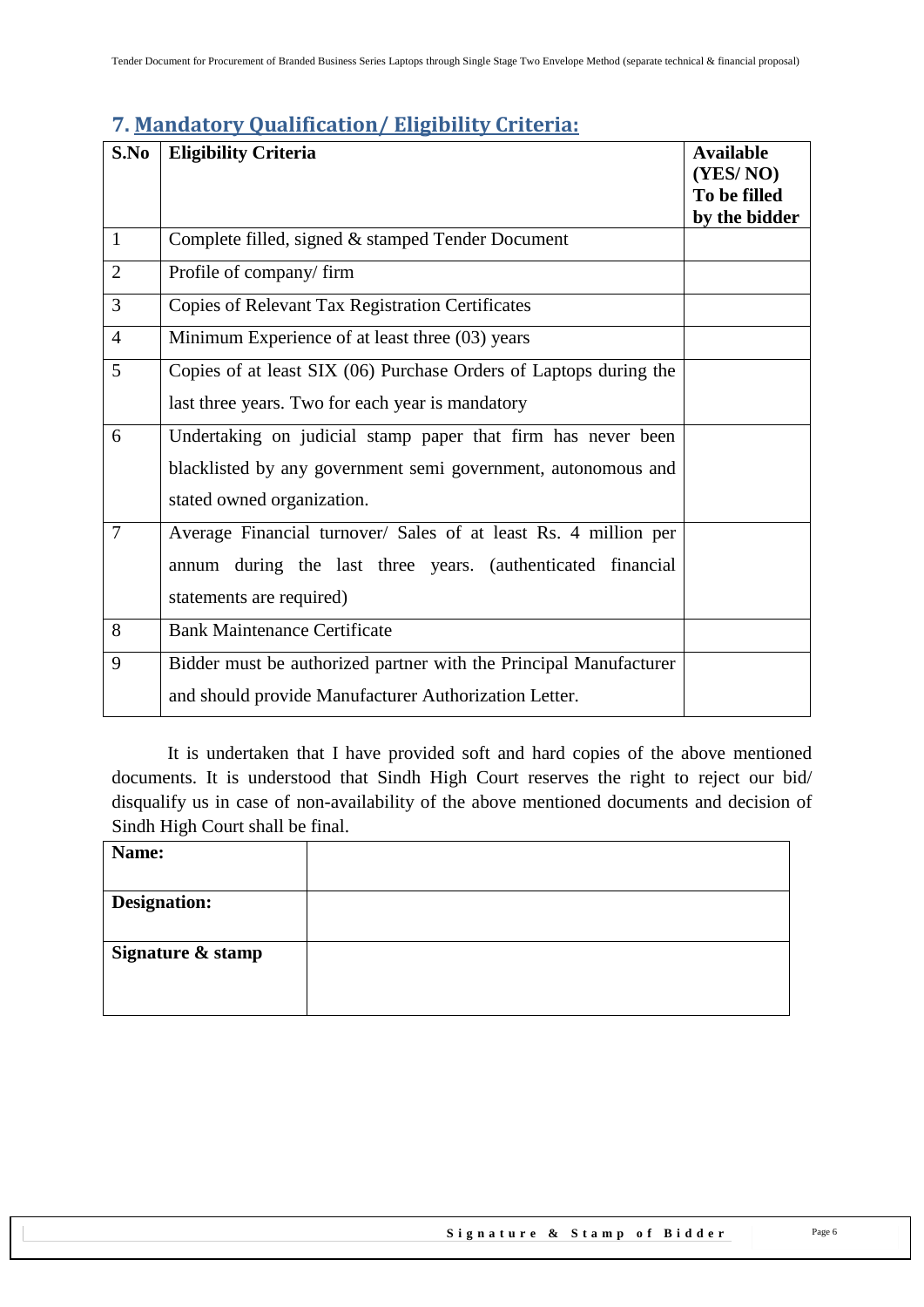## <span id="page-5-0"></span>**7. Mandatory Qualification/ Eligibility Criteria:**

| S.No           | <b>Eligibility Criteria</b>                                       | <b>Available</b> |
|----------------|-------------------------------------------------------------------|------------------|
|                |                                                                   | (YES/NO)         |
|                |                                                                   | To be filled     |
|                |                                                                   | by the bidder    |
| $\mathbf{1}$   | Complete filled, signed & stamped Tender Document                 |                  |
| $\overline{2}$ | Profile of company/firm                                           |                  |
| $\overline{3}$ | Copies of Relevant Tax Registration Certificates                  |                  |
| $\overline{4}$ | Minimum Experience of at least three (03) years                   |                  |
| 5              | Copies of at least SIX (06) Purchase Orders of Laptops during the |                  |
|                | last three years. Two for each year is mandatory                  |                  |
| 6              | Undertaking on judicial stamp paper that firm has never been      |                  |
|                | blacklisted by any government semi government, autonomous and     |                  |
|                | stated owned organization.                                        |                  |
| $\overline{7}$ | Average Financial turnover/ Sales of at least Rs. 4 million per   |                  |
|                | annum during the last three years. (authenticated financial       |                  |
|                | statements are required)                                          |                  |
| 8              | <b>Bank Maintenance Certificate</b>                               |                  |
| 9              | Bidder must be authorized partner with the Principal Manufacturer |                  |
|                | and should provide Manufacturer Authorization Letter.             |                  |

It is undertaken that I have provided soft and hard copies of the above mentioned documents. It is understood that Sindh High Court reserves the right to reject our bid/ disqualify us in case of non-availability of the above mentioned documents and decision of Sindh High Court shall be final.

| Name:               |  |
|---------------------|--|
|                     |  |
| <b>Designation:</b> |  |
|                     |  |
| Signature & stamp   |  |
|                     |  |
|                     |  |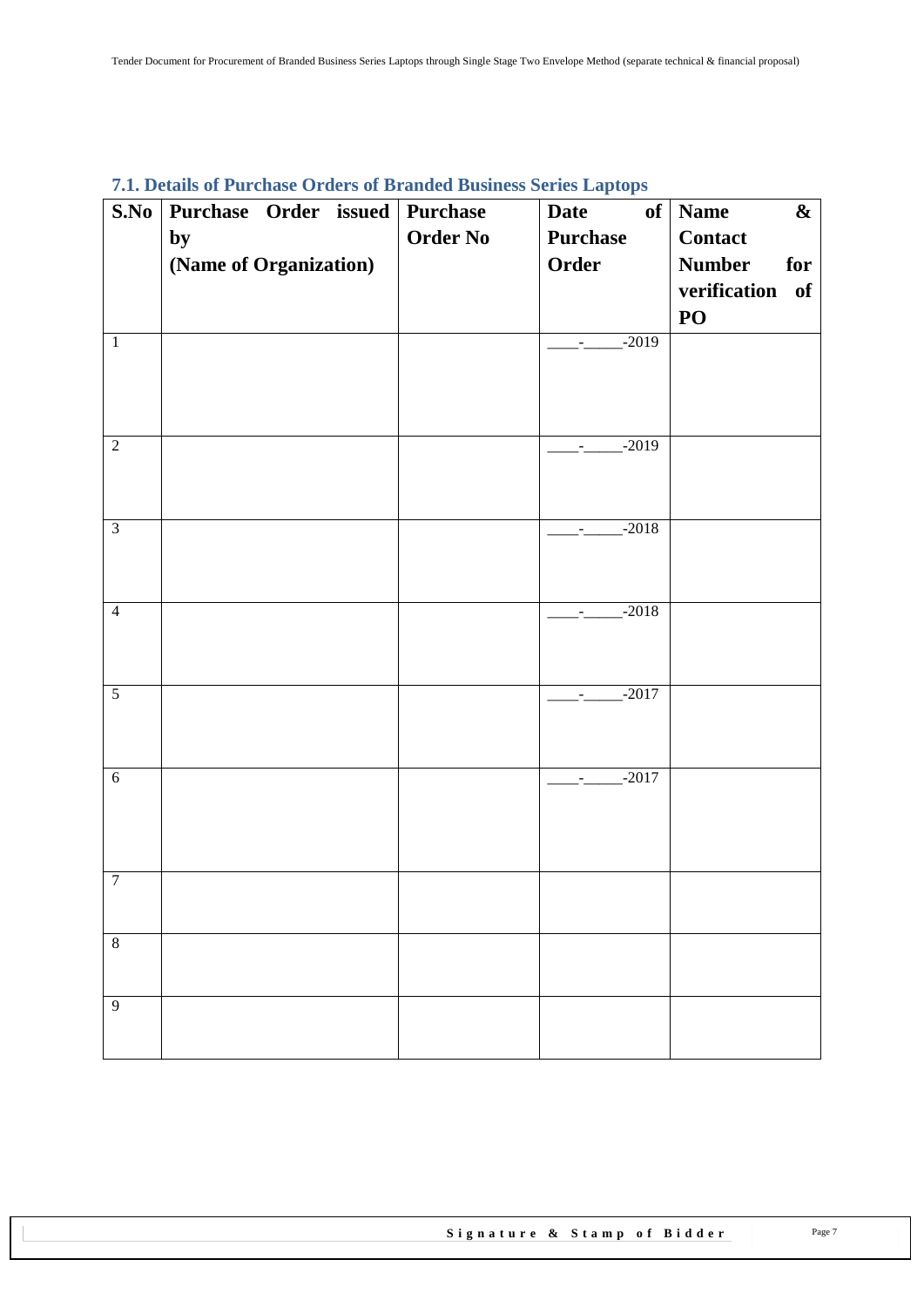| S.No           | Purchase Order issued Purchase |                 | ж.<br>of<br><b>Date</b>                                      | <b>Name</b><br>$\boldsymbol{\&}$ |
|----------------|--------------------------------|-----------------|--------------------------------------------------------------|----------------------------------|
|                | by                             | <b>Order No</b> | <b>Purchase</b>                                              | <b>Contact</b>                   |
|                | (Name of Organization)         |                 | Order                                                        | <b>Number</b><br>for             |
|                |                                |                 |                                                              | verification of                  |
|                |                                |                 |                                                              | PO                               |
| $\mathbf{1}$   |                                |                 | $-2019$<br>$\frac{1}{2}$ and $\frac{1}{2}$ and $\frac{1}{2}$ |                                  |
|                |                                |                 |                                                              |                                  |
|                |                                |                 |                                                              |                                  |
|                |                                |                 |                                                              |                                  |
| $\overline{2}$ |                                |                 | $-2019$                                                      |                                  |
|                |                                |                 |                                                              |                                  |
|                |                                |                 |                                                              |                                  |
| $\overline{3}$ |                                |                 | $-2018$<br>$\frac{1}{2}$ and $\frac{1}{2}$ and $\frac{1}{2}$ |                                  |
|                |                                |                 |                                                              |                                  |
|                |                                |                 |                                                              |                                  |
| $\overline{4}$ |                                |                 | $-2018$<br>$\sim$                                            |                                  |
|                |                                |                 |                                                              |                                  |
|                |                                |                 |                                                              |                                  |
| $\overline{5}$ |                                |                 | $-2017$<br>$\sigma_{\rm{max}}$                               |                                  |
|                |                                |                 |                                                              |                                  |
|                |                                |                 |                                                              |                                  |
| $\overline{6}$ |                                |                 | $-2017$                                                      |                                  |
|                |                                |                 |                                                              |                                  |
|                |                                |                 |                                                              |                                  |
|                |                                |                 |                                                              |                                  |
| $\overline{7}$ |                                |                 |                                                              |                                  |
|                |                                |                 |                                                              |                                  |
| $\overline{8}$ |                                |                 |                                                              |                                  |
|                |                                |                 |                                                              |                                  |
| $\overline{9}$ |                                |                 |                                                              |                                  |
|                |                                |                 |                                                              |                                  |
|                |                                |                 |                                                              |                                  |

## <span id="page-6-0"></span>**7.1. Details of Purchase Orders of Branded Business Series Laptops**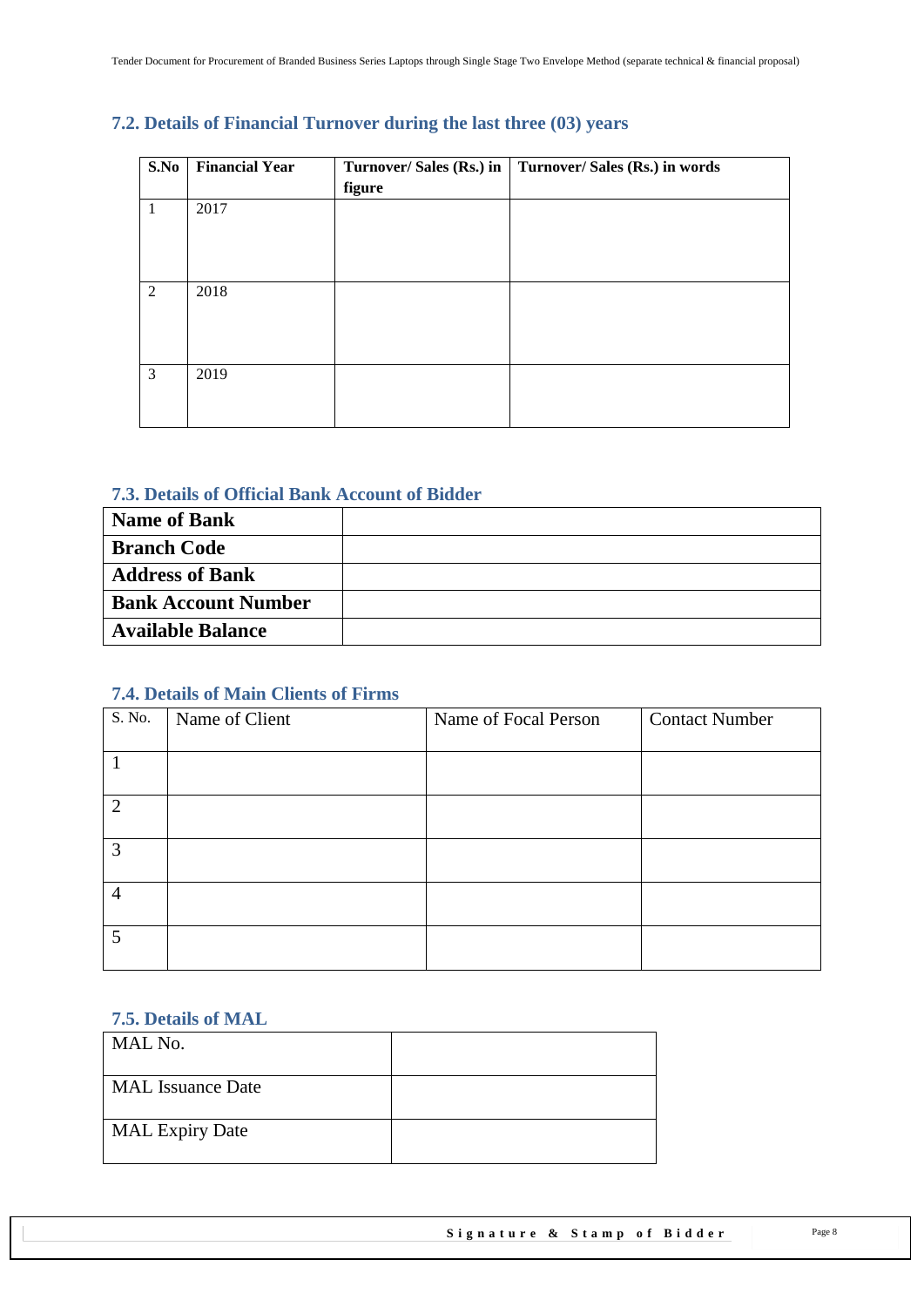| S.No | <b>Financial Year</b> | Turnover/ Sales (Rs.) in<br>figure | Turnover/ Sales (Rs.) in words |
|------|-----------------------|------------------------------------|--------------------------------|
| 1    | 2017                  |                                    |                                |
| 2    | 2018                  |                                    |                                |
| 3    | 2019                  |                                    |                                |

#### <span id="page-7-0"></span>**7.2. Details of Financial Turnover during the last three (03) years**

#### <span id="page-7-1"></span>**7.3. Details of Official Bank Account of Bidder**

| <b>Name of Bank</b>        |  |
|----------------------------|--|
| <b>Branch Code</b>         |  |
| <b>Address of Bank</b>     |  |
| <b>Bank Account Number</b> |  |
| <b>Available Balance</b>   |  |

#### <span id="page-7-2"></span>**7.4. Details of Main Clients of Firms**

| S. No.         | Name of Client | Name of Focal Person | <b>Contact Number</b> |
|----------------|----------------|----------------------|-----------------------|
|                |                |                      |                       |
|                |                |                      |                       |
|                |                |                      |                       |
| $\overline{2}$ |                |                      |                       |
|                |                |                      |                       |
| 3              |                |                      |                       |
|                |                |                      |                       |
| $\overline{4}$ |                |                      |                       |
|                |                |                      |                       |
| 5              |                |                      |                       |
|                |                |                      |                       |
|                |                |                      |                       |

#### <span id="page-7-3"></span>**7.5. Details of MAL**

| MAL No.                  |  |
|--------------------------|--|
| <b>MAL</b> Issuance Date |  |
| <b>MAL Expiry Date</b>   |  |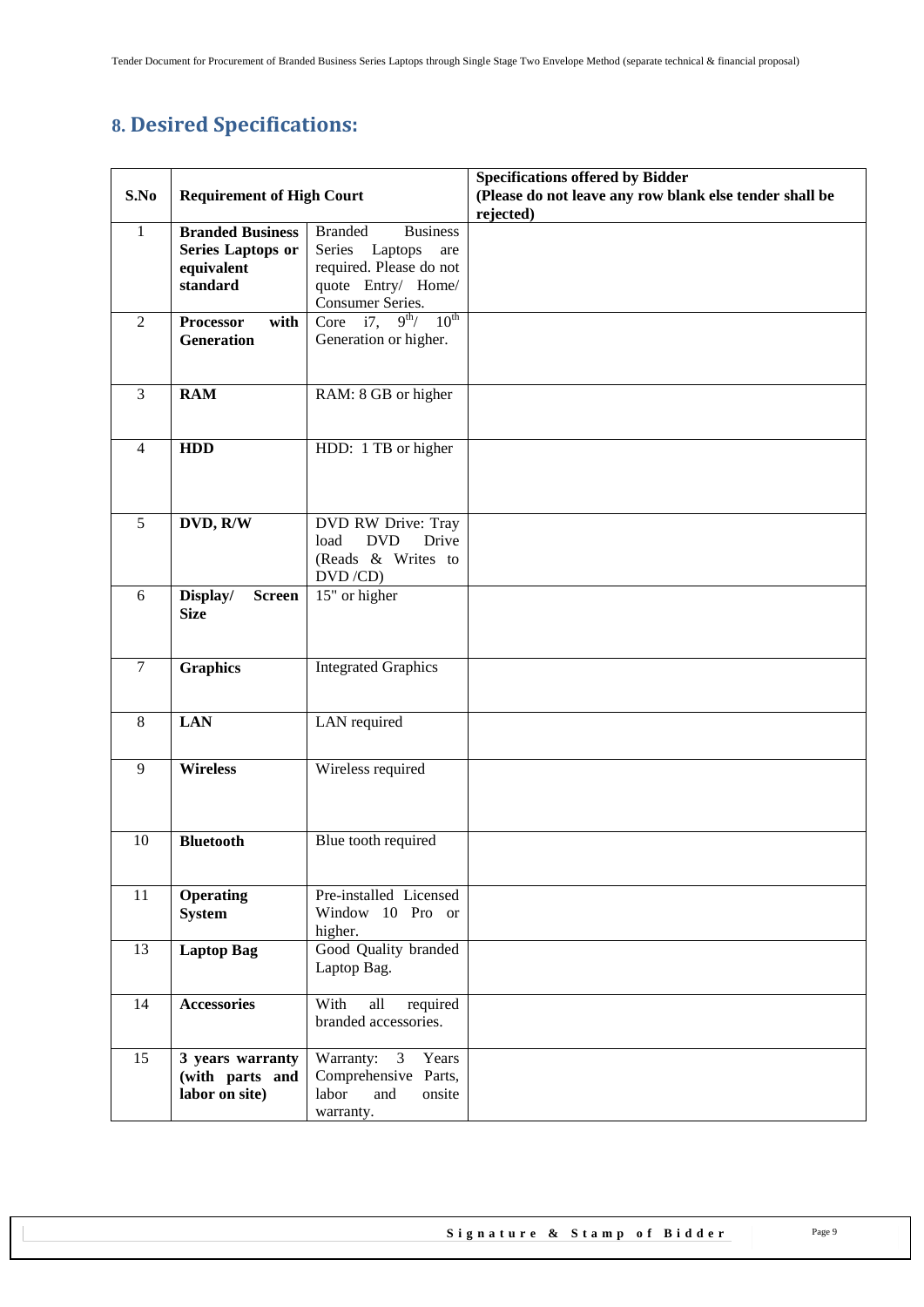# <span id="page-8-0"></span>**8. Desired Specifications:**

|                |                                          |                                               | <b>Specifications offered by Bidder</b>                              |
|----------------|------------------------------------------|-----------------------------------------------|----------------------------------------------------------------------|
| S.No           | <b>Requirement of High Court</b>         |                                               | (Please do not leave any row blank else tender shall be<br>rejected) |
| 1              | <b>Branded Business</b>                  | <b>Branded</b><br><b>Business</b>             |                                                                      |
|                | <b>Series Laptops or</b>                 | Series<br>Laptops<br>are                      |                                                                      |
|                | equivalent                               | required. Please do not                       |                                                                      |
|                | standard                                 | quote Entry/ Home/                            |                                                                      |
|                |                                          | Consumer Series.                              |                                                                      |
| $\overline{2}$ | with<br><b>Processor</b>                 | $10^{\text{th}}$<br>Core $i7$ ,<br>$9^{th}$ / |                                                                      |
|                | Generation                               | Generation or higher.                         |                                                                      |
|                |                                          |                                               |                                                                      |
| $\overline{3}$ | <b>RAM</b>                               | RAM: 8 GB or higher                           |                                                                      |
|                |                                          |                                               |                                                                      |
|                |                                          |                                               |                                                                      |
| $\overline{4}$ | <b>HDD</b>                               | HDD: 1 TB or higher                           |                                                                      |
|                |                                          |                                               |                                                                      |
|                |                                          |                                               |                                                                      |
|                |                                          |                                               |                                                                      |
| 5              | DVD, R/W                                 | DVD RW Drive: Tray                            |                                                                      |
|                |                                          | Drive<br>load<br><b>DVD</b>                   |                                                                      |
|                |                                          | (Reads & Writes to                            |                                                                      |
|                |                                          | DVD/CD)                                       |                                                                      |
| 6              | Display/<br><b>Screen</b><br><b>Size</b> | 15" or higher                                 |                                                                      |
|                |                                          |                                               |                                                                      |
|                |                                          |                                               |                                                                      |
| $\overline{7}$ | <b>Graphics</b>                          | <b>Integrated Graphics</b>                    |                                                                      |
|                |                                          |                                               |                                                                      |
|                |                                          |                                               |                                                                      |
| 8              | <b>LAN</b>                               | LAN required                                  |                                                                      |
|                |                                          |                                               |                                                                      |
| 9              | <b>Wireless</b>                          | Wireless required                             |                                                                      |
|                |                                          |                                               |                                                                      |
|                |                                          |                                               |                                                                      |
|                |                                          |                                               |                                                                      |
| 10             | <b>Bluetooth</b>                         | Blue tooth required                           |                                                                      |
|                |                                          |                                               |                                                                      |
| 11             | <b>Operating</b>                         | Pre-installed Licensed                        |                                                                      |
|                | <b>System</b>                            | Window 10 Pro or                              |                                                                      |
|                |                                          | higher.                                       |                                                                      |
| 13             | <b>Laptop Bag</b>                        | Good Quality branded                          |                                                                      |
|                |                                          | Laptop Bag.                                   |                                                                      |
|                |                                          |                                               |                                                                      |
| 14             | <b>Accessories</b>                       | With<br>all<br>required                       |                                                                      |
|                |                                          | branded accessories.                          |                                                                      |
|                |                                          |                                               |                                                                      |
| 15             | 3 years warranty                         | Warranty: 3 Years<br>Comprehensive Parts,     |                                                                      |
|                | (with parts and<br>labor on site)        | labor<br>and<br>onsite                        |                                                                      |
|                |                                          | warranty.                                     |                                                                      |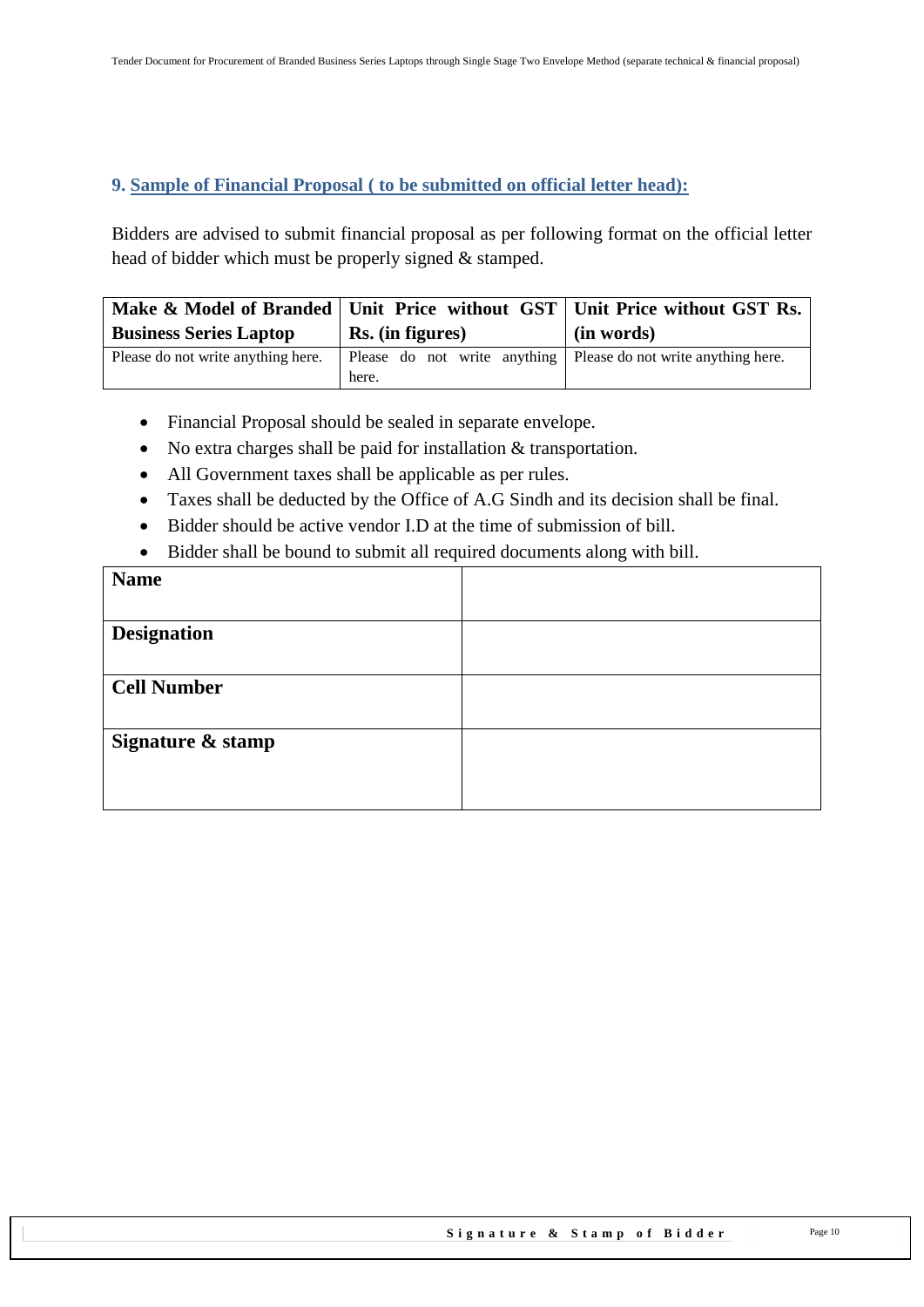#### <span id="page-9-0"></span>**9. Sample of Financial Proposal ( to be submitted on official letter head):**

Bidders are advised to submit financial proposal as per following format on the official letter head of bidder which must be properly signed & stamped.

|                                    |                                                                            | Make & Model of Branded   Unit Price without GST   Unit Price without GST Rs. |  |
|------------------------------------|----------------------------------------------------------------------------|-------------------------------------------------------------------------------|--|
| <b>Business Series Laptop</b>      | Rs. (in figures)                                                           | (in words)                                                                    |  |
| Please do not write anything here. | Please do not write anything   Please do not write anything here.<br>here. |                                                                               |  |

- Financial Proposal should be sealed in separate envelope.
- No extra charges shall be paid for installation & transportation.
- All Government taxes shall be applicable as per rules.
- Taxes shall be deducted by the Office of A.G Sindh and its decision shall be final.
- Bidder should be active vendor I.D at the time of submission of bill.
- Bidder shall be bound to submit all required documents along with bill.

| <b>Name</b>        |  |
|--------------------|--|
|                    |  |
| <b>Designation</b> |  |
|                    |  |
| <b>Cell Number</b> |  |
|                    |  |
| Signature & stamp  |  |
|                    |  |
|                    |  |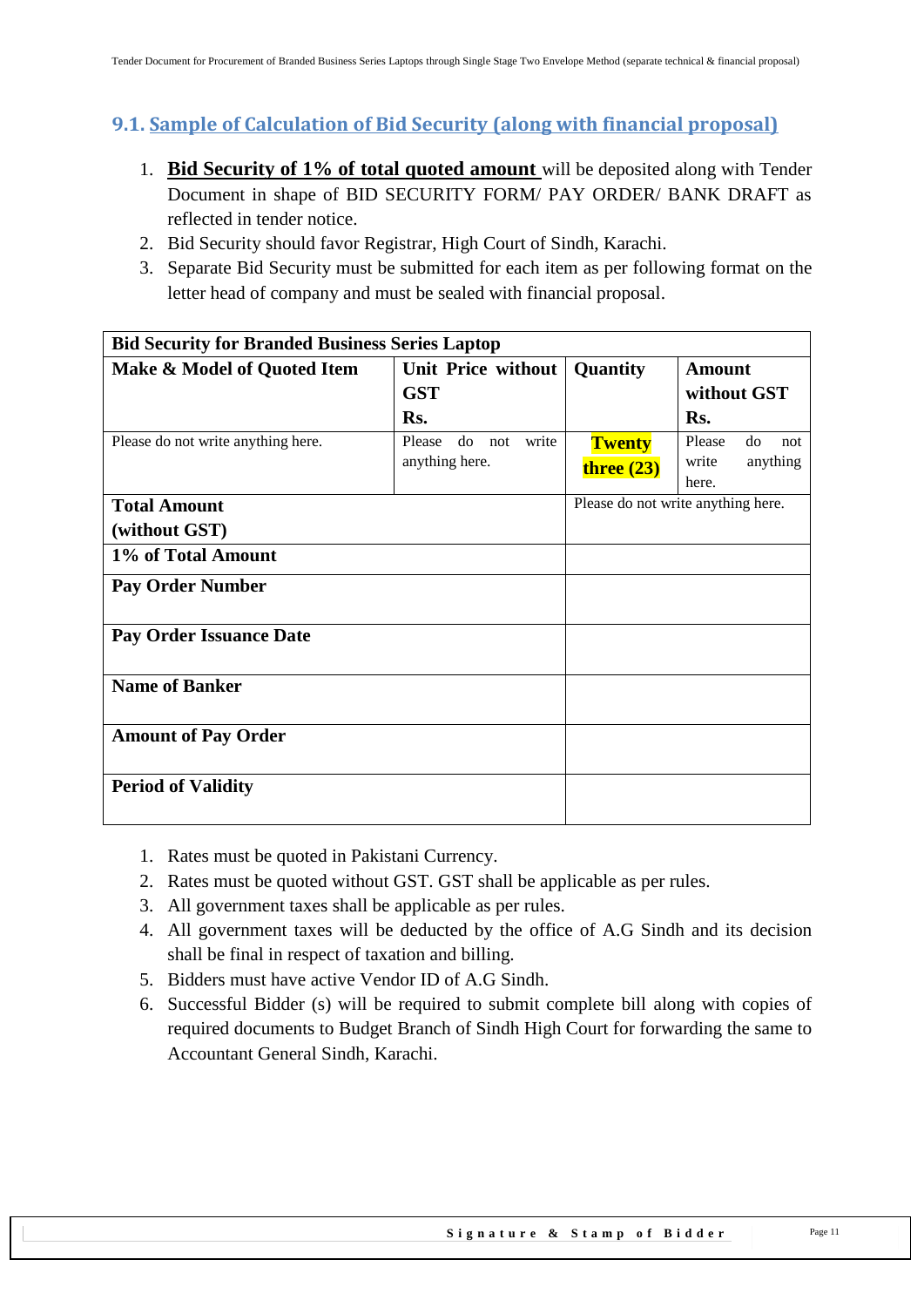## <span id="page-10-0"></span>**9.1. Sample of Calculation of Bid Security (along with financial proposal)**

- 1. **Bid Security of 1% of total quoted amount** will be deposited along with Tender Document in shape of BID SECURITY FORM/ PAY ORDER/ BANK DRAFT as reflected in tender notice.
- 2. Bid Security should favor Registrar, High Court of Sindh, Karachi.
- 3. Separate Bid Security must be submitted for each item as per following format on the letter head of company and must be sealed with financial proposal.

| <b>Bid Security for Branded Business Series Laptop</b> |                              |               |                                    |  |
|--------------------------------------------------------|------------------------------|---------------|------------------------------------|--|
| Make & Model of Quoted Item                            | Unit Price without           | Quantity      | <b>Amount</b>                      |  |
|                                                        | <b>GST</b>                   |               | without GST                        |  |
|                                                        | Rs.                          |               | Rs.                                |  |
| Please do not write anything here.                     | Please<br>write<br>do<br>not | <b>Twenty</b> | Please<br>do<br>not                |  |
|                                                        | anything here.               | three $(23)$  | write<br>anything                  |  |
|                                                        |                              |               | here.                              |  |
| <b>Total Amount</b>                                    |                              |               | Please do not write anything here. |  |
| (without GST)                                          |                              |               |                                    |  |
| 1% of Total Amount                                     |                              |               |                                    |  |
| <b>Pay Order Number</b>                                |                              |               |                                    |  |
| <b>Pay Order Issuance Date</b>                         |                              |               |                                    |  |
| <b>Name of Banker</b>                                  |                              |               |                                    |  |
| <b>Amount of Pay Order</b>                             |                              |               |                                    |  |
| <b>Period of Validity</b>                              |                              |               |                                    |  |

- 1. Rates must be quoted in Pakistani Currency.
- 2. Rates must be quoted without GST. GST shall be applicable as per rules.
- 3. All government taxes shall be applicable as per rules.
- 4. All government taxes will be deducted by the office of A.G Sindh and its decision shall be final in respect of taxation and billing.
- 5. Bidders must have active Vendor ID of A.G Sindh.
- 6. Successful Bidder (s) will be required to submit complete bill along with copies of required documents to Budget Branch of Sindh High Court for forwarding the same to Accountant General Sindh, Karachi.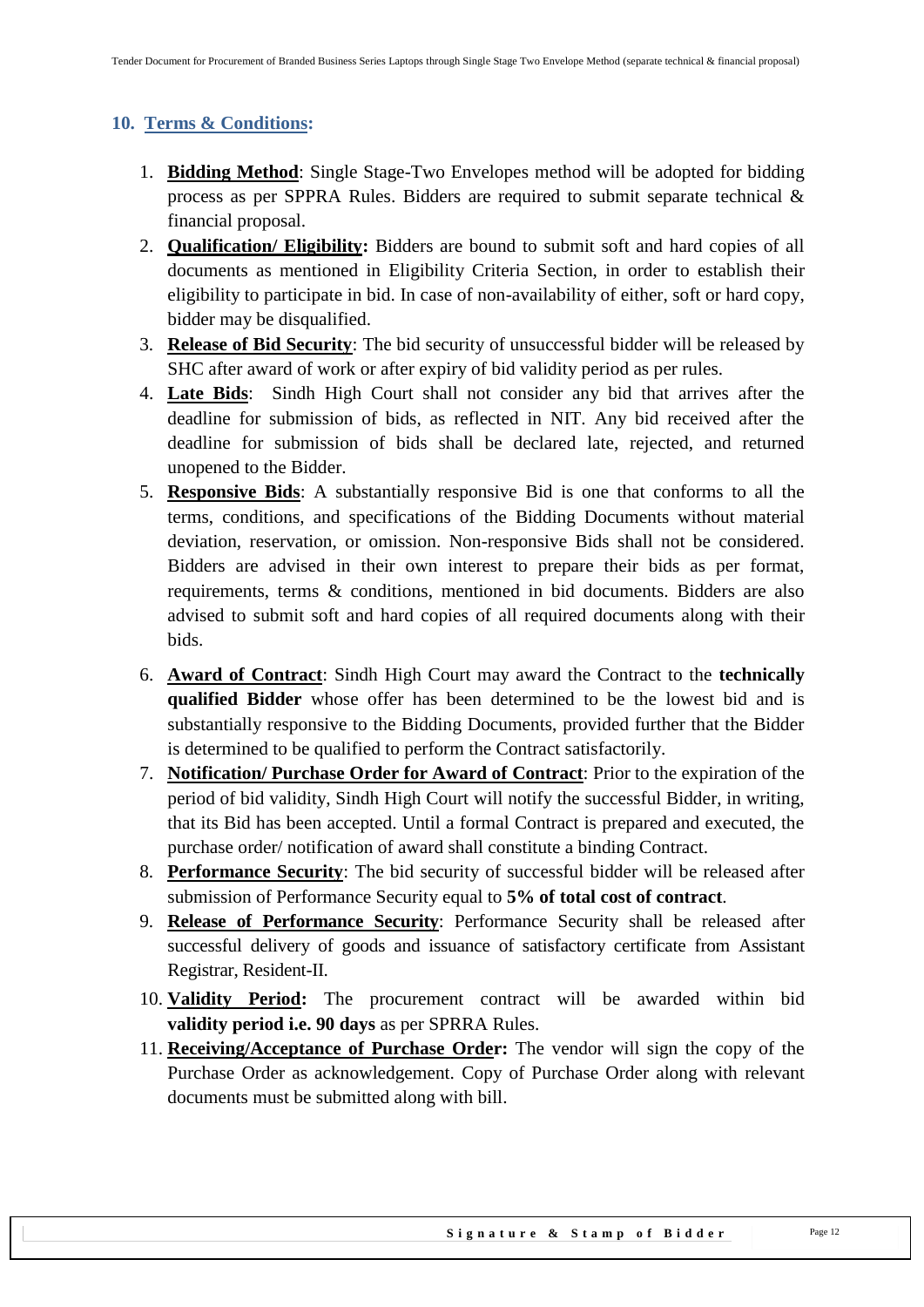## <span id="page-11-0"></span>**10. Terms & Conditions:**

- 1. **Bidding Method**: Single Stage-Two Envelopes method will be adopted for bidding process as per SPPRA Rules. Bidders are required to submit separate technical & financial proposal.
- 2. **Qualification/ Eligibility:** Bidders are bound to submit soft and hard copies of all documents as mentioned in Eligibility Criteria Section, in order to establish their eligibility to participate in bid. In case of non-availability of either, soft or hard copy, bidder may be disqualified.
- 3. **Release of Bid Security**: The bid security of unsuccessful bidder will be released by SHC after award of work or after expiry of bid validity period as per rules.
- 4. **Late Bids**: Sindh High Court shall not consider any bid that arrives after the deadline for submission of bids, as reflected in NIT. Any bid received after the deadline for submission of bids shall be declared late, rejected, and returned unopened to the Bidder.
- 5. **Responsive Bids**: A substantially responsive Bid is one that conforms to all the terms, conditions, and specifications of the Bidding Documents without material deviation, reservation, or omission. Non-responsive Bids shall not be considered. Bidders are advised in their own interest to prepare their bids as per format, requirements, terms & conditions, mentioned in bid documents. Bidders are also advised to submit soft and hard copies of all required documents along with their bids.
- 6. **Award of Contract**: Sindh High Court may award the Contract to the **technically qualified Bidder** whose offer has been determined to be the lowest bid and is substantially responsive to the Bidding Documents, provided further that the Bidder is determined to be qualified to perform the Contract satisfactorily.
- 7. **Notification/ Purchase Order for Award of Contract**: Prior to the expiration of the period of bid validity, Sindh High Court will notify the successful Bidder, in writing, that its Bid has been accepted. Until a formal Contract is prepared and executed, the purchase order/ notification of award shall constitute a binding Contract.
- 8. **Performance Security**: The bid security of successful bidder will be released after submission of Performance Security equal to **5% of total cost of contract**.
- 9. **Release of Performance Security**: Performance Security shall be released after successful delivery of goods and issuance of satisfactory certificate from Assistant Registrar, Resident-II.
- 10. **Validity Period:** The procurement contract will be awarded within bid **validity period i.e. 90 days** as per SPRRA Rules.
- 11. **Receiving/Acceptance of Purchase Order:** The vendor will sign the copy of the Purchase Order as acknowledgement. Copy of Purchase Order along with relevant documents must be submitted along with bill.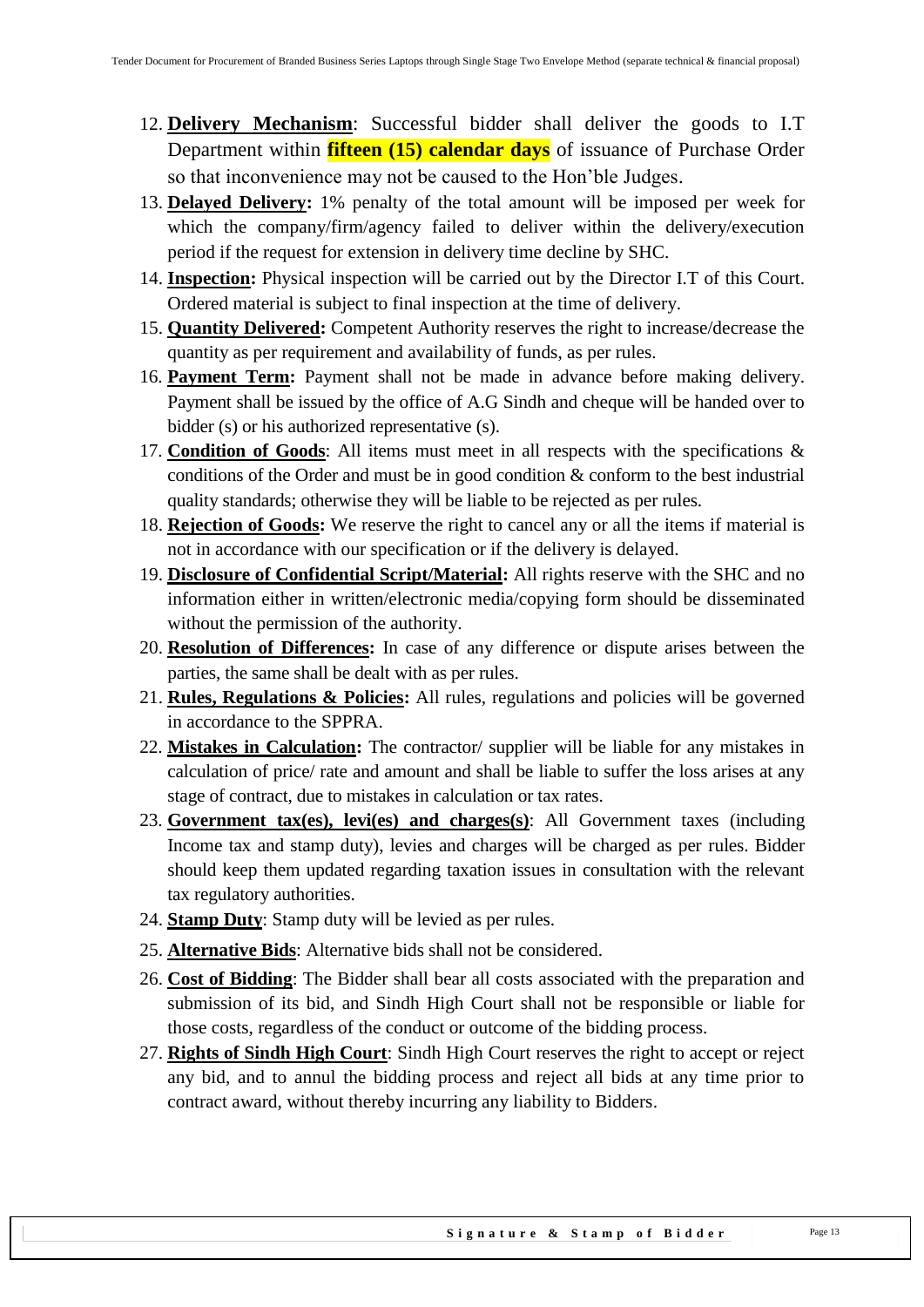- 12. **Delivery Mechanism**: Successful bidder shall deliver the goods to I.T Department within **fifteen (15) calendar days** of issuance of Purchase Order so that inconvenience may not be caused to the Hon"ble Judges.
- 13. **Delayed Delivery:** 1% penalty of the total amount will be imposed per week for which the company/firm/agency failed to deliver within the delivery/execution period if the request for extension in delivery time decline by SHC.
- 14. **Inspection:** Physical inspection will be carried out by the Director I.T of this Court. Ordered material is subject to final inspection at the time of delivery.
- 15. **Quantity Delivered:** Competent Authority reserves the right to increase/decrease the quantity as per requirement and availability of funds, as per rules.
- 16. **Payment Term:** Payment shall not be made in advance before making delivery. Payment shall be issued by the office of A.G Sindh and cheque will be handed over to bidder (s) or his authorized representative (s).
- 17. **Condition of Goods**: All items must meet in all respects with the specifications & conditions of the Order and must be in good condition & conform to the best industrial quality standards; otherwise they will be liable to be rejected as per rules.
- 18. **Rejection of Goods:** We reserve the right to cancel any or all the items if material is not in accordance with our specification or if the delivery is delayed.
- 19. **Disclosure of Confidential Script/Material:** All rights reserve with the SHC and no information either in written/electronic media/copying form should be disseminated without the permission of the authority.
- 20. **Resolution of Differences:** In case of any difference or dispute arises between the parties, the same shall be dealt with as per rules.
- 21. **Rules, Regulations & Policies:** All rules, regulations and policies will be governed in accordance to the SPPRA.
- 22. **Mistakes in Calculation:** The contractor/ supplier will be liable for any mistakes in calculation of price/ rate and amount and shall be liable to suffer the loss arises at any stage of contract, due to mistakes in calculation or tax rates.
- 23. **Government tax(es), levi(es) and charges(s)**: All Government taxes (including Income tax and stamp duty), levies and charges will be charged as per rules. Bidder should keep them updated regarding taxation issues in consultation with the relevant tax regulatory authorities.
- 24. **Stamp Duty**: Stamp duty will be levied as per rules.
- 25. **Alternative Bids**: Alternative bids shall not be considered.
- 26. **Cost of Bidding**: The Bidder shall bear all costs associated with the preparation and submission of its bid, and Sindh High Court shall not be responsible or liable for those costs, regardless of the conduct or outcome of the bidding process.
- 27. **Rights of Sindh High Court**: Sindh High Court reserves the right to accept or reject any bid, and to annul the bidding process and reject all bids at any time prior to contract award, without thereby incurring any liability to Bidders.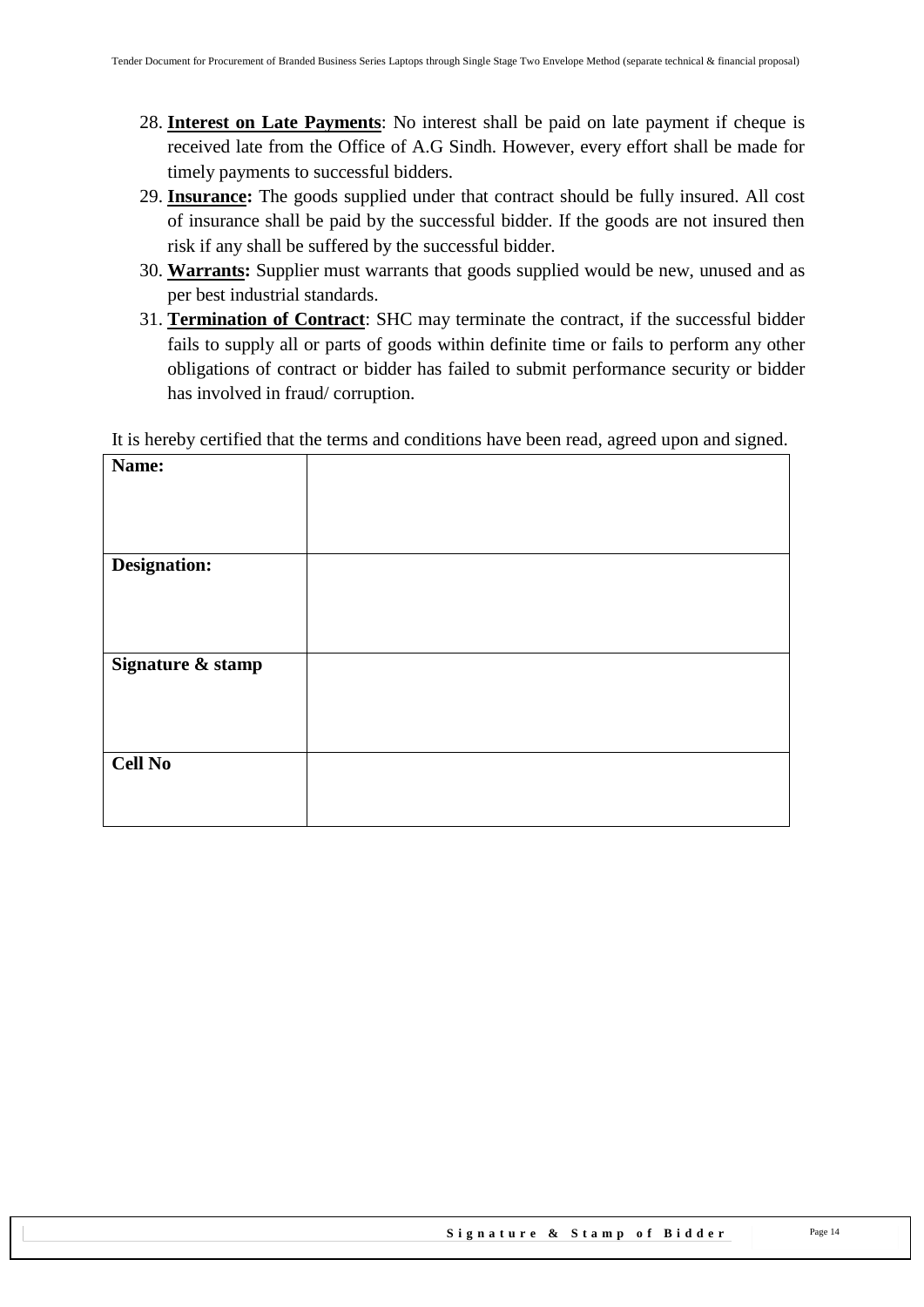- 28. **Interest on Late Payments**: No interest shall be paid on late payment if cheque is received late from the Office of A.G Sindh. However, every effort shall be made for timely payments to successful bidders.
- 29. **Insurance:** The goods supplied under that contract should be fully insured. All cost of insurance shall be paid by the successful bidder. If the goods are not insured then risk if any shall be suffered by the successful bidder.
- 30. **Warrants:** Supplier must warrants that goods supplied would be new, unused and as per best industrial standards.
- 31. **Termination of Contract**: SHC may terminate the contract, if the successful bidder fails to supply all or parts of goods within definite time or fails to perform any other obligations of contract or bidder has failed to submit performance security or bidder has involved in fraud/ corruption.

It is hereby certified that the terms and conditions have been read, agreed upon and signed.

| Name:             |  |
|-------------------|--|
|                   |  |
|                   |  |
|                   |  |
|                   |  |
| Designation:      |  |
|                   |  |
|                   |  |
|                   |  |
| Signature & stamp |  |
|                   |  |
|                   |  |
|                   |  |
|                   |  |
| <b>Cell No</b>    |  |
|                   |  |
|                   |  |
|                   |  |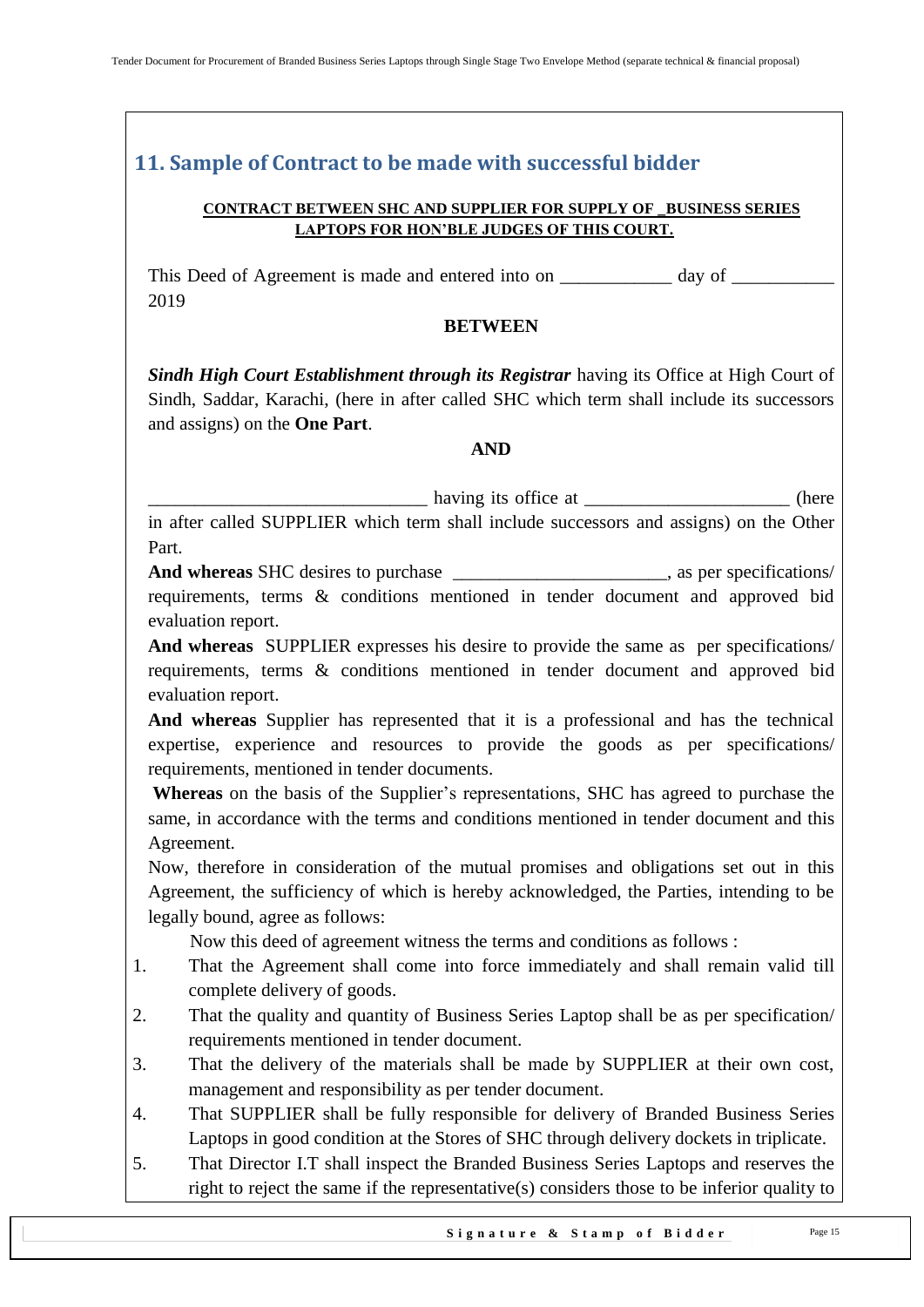## <span id="page-14-0"></span>**11. Sample of Contract to be made with successful bidder**

#### **CONTRACT BETWEEN SHC AND SUPPLIER FOR SUPPLY OF \_BUSINESS SERIES LAPTOPS FOR HON'BLE JUDGES OF THIS COURT.**

This Deed of Agreement is made and entered into on \_\_\_\_\_\_\_\_\_\_\_\_\_ day of \_\_\_\_\_\_\_\_\_\_\_\_\_\_\_ 2019

#### **BETWEEN**

*Sindh High Court Establishment through its Registrar having its Office at High Court of* Sindh, Saddar, Karachi, (here in after called SHC which term shall include its successors and assigns) on the **One Part**.

#### **AND**

\_\_\_\_\_\_\_\_\_\_\_\_\_\_\_\_\_\_\_\_\_\_\_\_\_\_\_\_\_\_ having its office at \_\_\_\_\_\_\_\_\_\_\_\_\_\_\_\_\_\_\_\_\_\_ (here

in after called SUPPLIER which term shall include successors and assigns) on the Other Part.

**And whereas** SHC desires to purchase \_\_\_\_\_\_\_\_\_\_\_\_\_\_\_\_\_\_\_\_\_\_\_, as per specifications/ requirements, terms & conditions mentioned in tender document and approved bid evaluation report.

**And whereas** SUPPLIER expresses his desire to provide the same as per specifications/ requirements, terms & conditions mentioned in tender document and approved bid evaluation report.

**And whereas** Supplier has represented that it is a professional and has the technical expertise, experience and resources to provide the goods as per specifications/ requirements, mentioned in tender documents.

**Whereas** on the basis of the Supplier"s representations, SHC has agreed to purchase the same, in accordance with the terms and conditions mentioned in tender document and this Agreement.

Now, therefore in consideration of the mutual promises and obligations set out in this Agreement, the sufficiency of which is hereby acknowledged, the Parties, intending to be legally bound, agree as follows:

Now this deed of agreement witness the terms and conditions as follows :

- 1. That the Agreement shall come into force immediately and shall remain valid till complete delivery of goods.
- 2. That the quality and quantity of Business Series Laptop shall be as per specification/ requirements mentioned in tender document.
- 3. That the delivery of the materials shall be made by SUPPLIER at their own cost, management and responsibility as per tender document.
- 4. That SUPPLIER shall be fully responsible for delivery of Branded Business Series Laptops in good condition at the Stores of SHC through delivery dockets in triplicate.
- 5. That Director I.T shall inspect the Branded Business Series Laptops and reserves the right to reject the same if the representative(s) considers those to be inferior quality to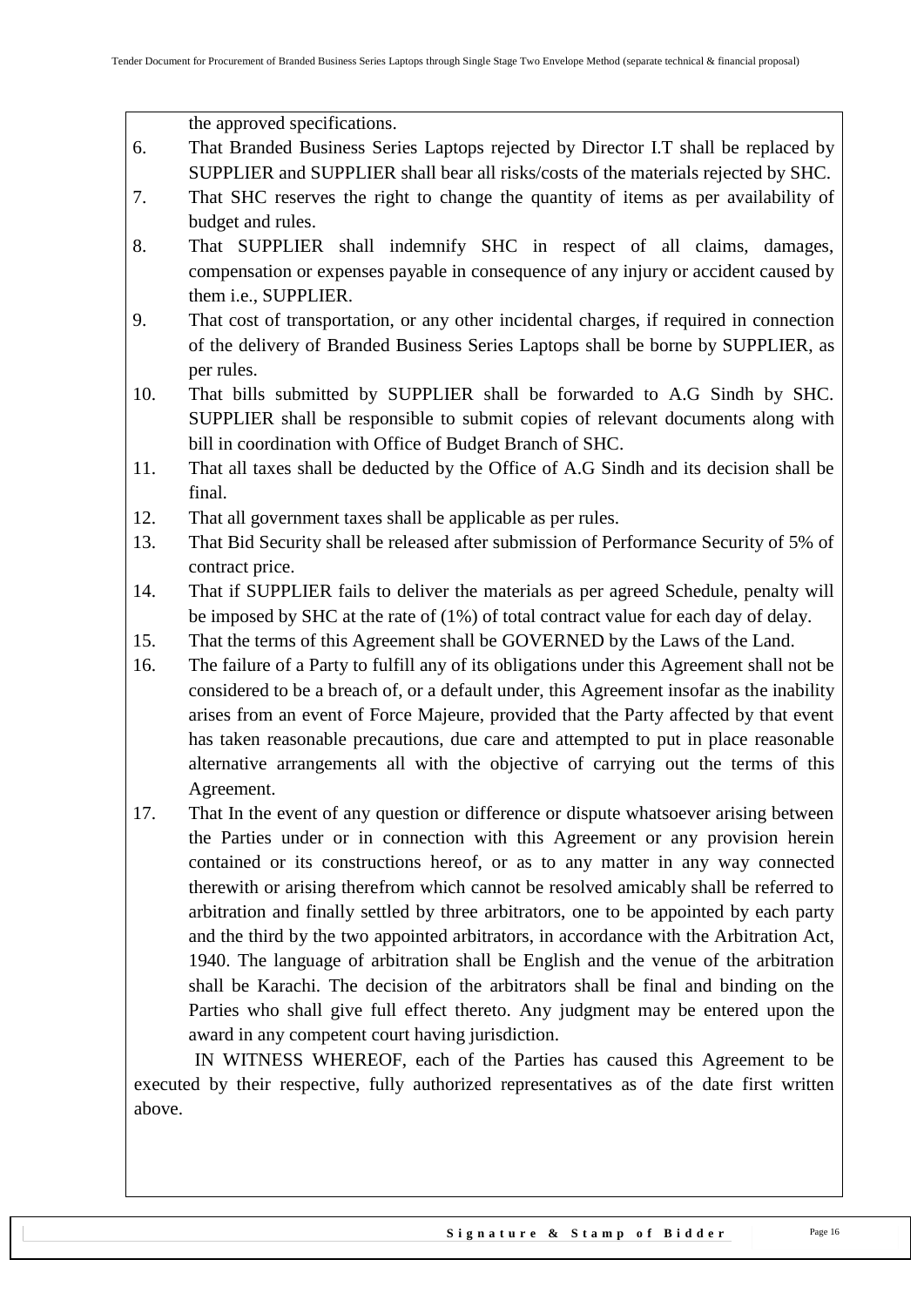the approved specifications.

- 6. That Branded Business Series Laptops rejected by Director I.T shall be replaced by SUPPLIER and SUPPLIER shall bear all risks/costs of the materials rejected by SHC.
- 7. That SHC reserves the right to change the quantity of items as per availability of budget and rules.
- 8. That SUPPLIER shall indemnify SHC in respect of all claims, damages, compensation or expenses payable in consequence of any injury or accident caused by them i.e., SUPPLIER.
- 9. That cost of transportation, or any other incidental charges, if required in connection of the delivery of Branded Business Series Laptops shall be borne by SUPPLIER, as per rules.
- 10. That bills submitted by SUPPLIER shall be forwarded to A.G Sindh by SHC. SUPPLIER shall be responsible to submit copies of relevant documents along with bill in coordination with Office of Budget Branch of SHC.
- 11. That all taxes shall be deducted by the Office of A.G Sindh and its decision shall be final.
- 12. That all government taxes shall be applicable as per rules.
- 13. That Bid Security shall be released after submission of Performance Security of 5% of contract price.
- 14. That if SUPPLIER fails to deliver the materials as per agreed Schedule, penalty will be imposed by SHC at the rate of (1%) of total contract value for each day of delay.
- 15. That the terms of this Agreement shall be GOVERNED by the Laws of the Land.
- 16. The failure of a Party to fulfill any of its obligations under this Agreement shall not be considered to be a breach of, or a default under, this Agreement insofar as the inability arises from an event of Force Majeure, provided that the Party affected by that event has taken reasonable precautions, due care and attempted to put in place reasonable alternative arrangements all with the objective of carrying out the terms of this Agreement.
- 17. That In the event of any question or difference or dispute whatsoever arising between the Parties under or in connection with this Agreement or any provision herein contained or its constructions hereof, or as to any matter in any way connected therewith or arising therefrom which cannot be resolved amicably shall be referred to arbitration and finally settled by three arbitrators, one to be appointed by each party and the third by the two appointed arbitrators, in accordance with the Arbitration Act, 1940. The language of arbitration shall be English and the venue of the arbitration shall be Karachi. The decision of the arbitrators shall be final and binding on the Parties who shall give full effect thereto. Any judgment may be entered upon the award in any competent court having jurisdiction.

 IN WITNESS WHEREOF, each of the Parties has caused this Agreement to be executed by their respective, fully authorized representatives as of the date first written above.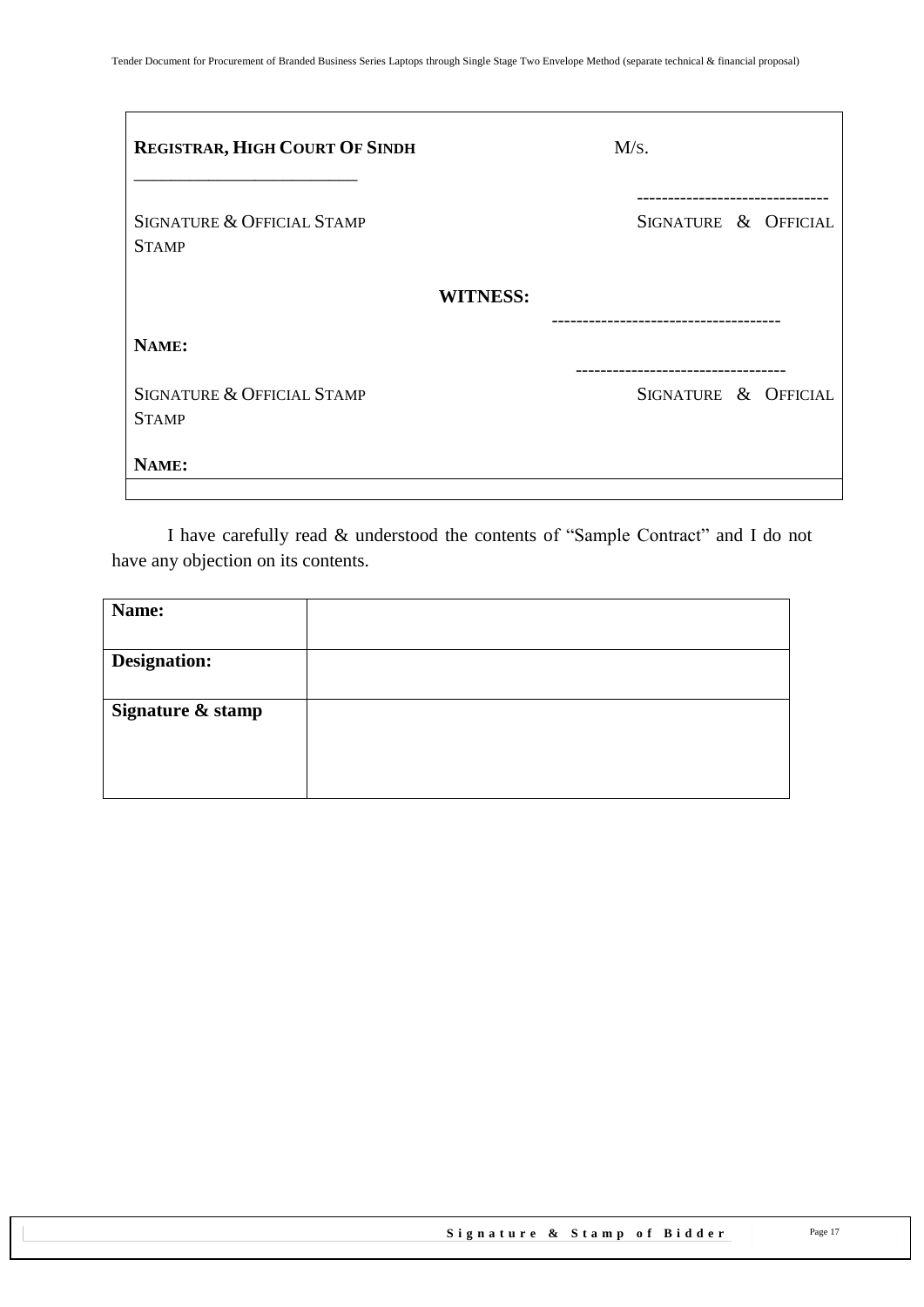| <b>REGISTRAR, HIGH COURT OF SINDH</b>      | M/s.                                                |
|--------------------------------------------|-----------------------------------------------------|
| SIGNATURE & OFFICIAL STAMP<br><b>STAMP</b> | SIGNATURE & OFFICIAL                                |
|                                            | <b>WITNESS:</b>                                     |
| NAME:                                      |                                                     |
| SIGNATURE & OFFICIAL STAMP<br><b>STAMP</b> | ---------------------------<br>SIGNATURE & OFFICIAL |
| NAME:                                      |                                                     |

I have carefully read & understood the contents of "Sample Contract" and I do not have any objection on its contents.

| Name:               |  |
|---------------------|--|
|                     |  |
| <b>Designation:</b> |  |
|                     |  |
| Signature & stamp   |  |
|                     |  |
|                     |  |
|                     |  |